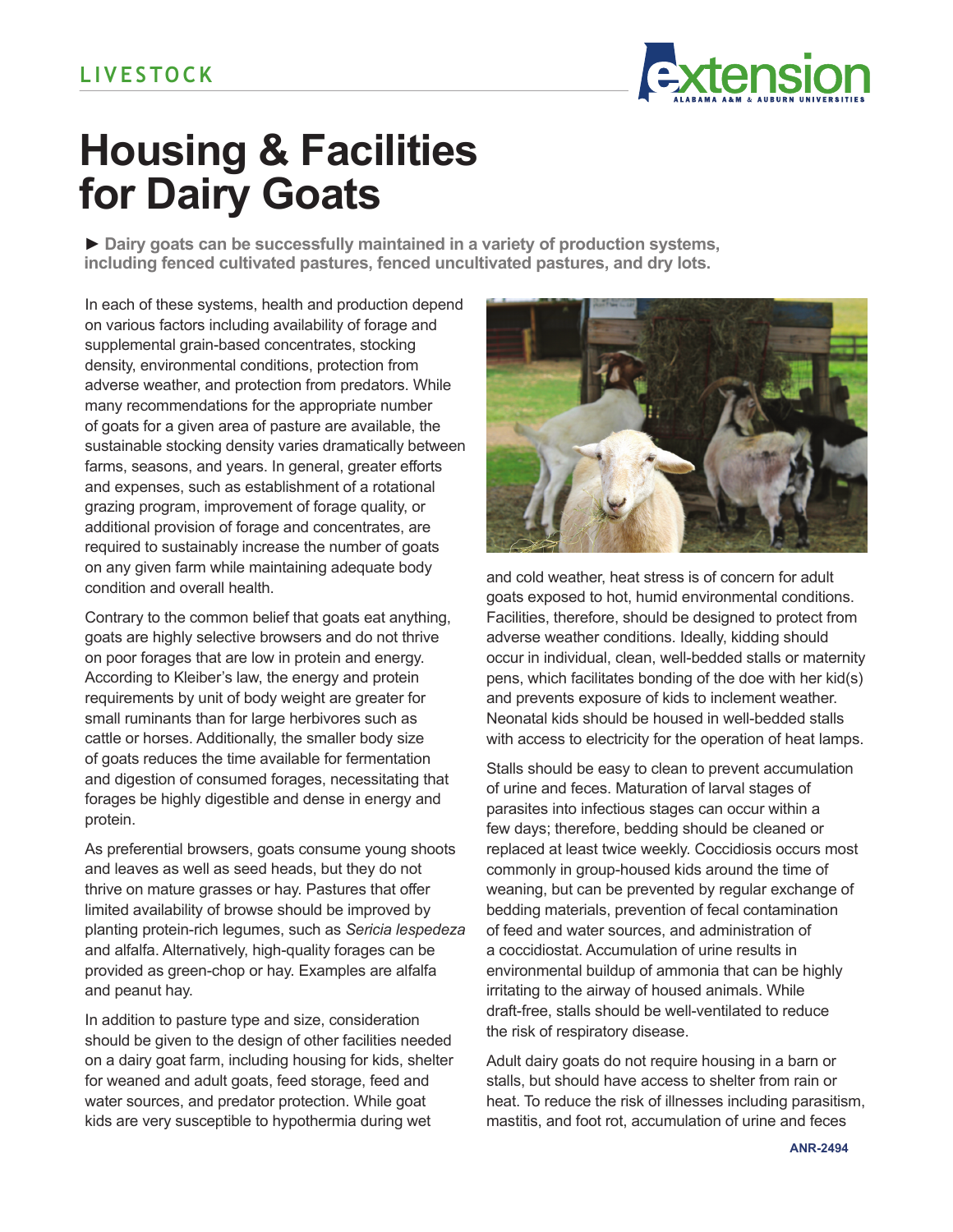

## **Housing & Facilities for Dairy Goats**

**► Dairy goats can be successfully maintained in a variety of production systems, including fenced cultivated pastures, fenced uncultivated pastures, and dry lots.** 

In each of these systems, health and production depend on various factors including availability of forage and supplemental grain-based concentrates, stocking density, environmental conditions, protection from adverse weather, and protection from predators. While many recommendations for the appropriate number of goats for a given area of pasture are available, the sustainable stocking density varies dramatically between farms, seasons, and years. In general, greater efforts and expenses, such as establishment of a rotational grazing program, improvement of forage quality, or additional provision of forage and concentrates, are required to sustainably increase the number of goats on any given farm while maintaining adequate body condition and overall health.

Contrary to the common belief that goats eat anything, goats are highly selective browsers and do not thrive on poor forages that are low in protein and energy. According to Kleiber's law, the energy and protein requirements by unit of body weight are greater for small ruminants than for large herbivores such as cattle or horses. Additionally, the smaller body size of goats reduces the time available for fermentation and digestion of consumed forages, necessitating that forages be highly digestible and dense in energy and protein.

As preferential browsers, goats consume young shoots and leaves as well as seed heads, but they do not thrive on mature grasses or hay. Pastures that offer limited availability of browse should be improved by planting protein-rich legumes, such as *Sericia lespedeza* and alfalfa. Alternatively, high-quality forages can be provided as green-chop or hay. Examples are alfalfa and peanut hay.

In addition to pasture type and size, consideration should be given to the design of other facilities needed on a dairy goat farm, including housing for kids, shelter for weaned and adult goats, feed storage, feed and water sources, and predator protection. While goat kids are very susceptible to hypothermia during wet



and cold weather, heat stress is of concern for adult goats exposed to hot, humid environmental conditions. Facilities, therefore, should be designed to protect from adverse weather conditions. Ideally, kidding should occur in individual, clean, well-bedded stalls or maternity pens, which facilitates bonding of the doe with her kid(s) and prevents exposure of kids to inclement weather. Neonatal kids should be housed in well-bedded stalls with access to electricity for the operation of heat lamps.

Stalls should be easy to clean to prevent accumulation of urine and feces. Maturation of larval stages of parasites into infectious stages can occur within a few days; therefore, bedding should be cleaned or replaced at least twice weekly. Coccidiosis occurs most commonly in group-housed kids around the time of weaning, but can be prevented by regular exchange of bedding materials, prevention of fecal contamination of feed and water sources, and administration of a coccidiostat. Accumulation of urine results in environmental buildup of ammonia that can be highly irritating to the airway of housed animals. While draft-free, stalls should be well-ventilated to reduce the risk of respiratory disease.

Adult dairy goats do not require housing in a barn or stalls, but should have access to shelter from rain or heat. To reduce the risk of illnesses including parasitism, mastitis, and foot rot, accumulation of urine and feces